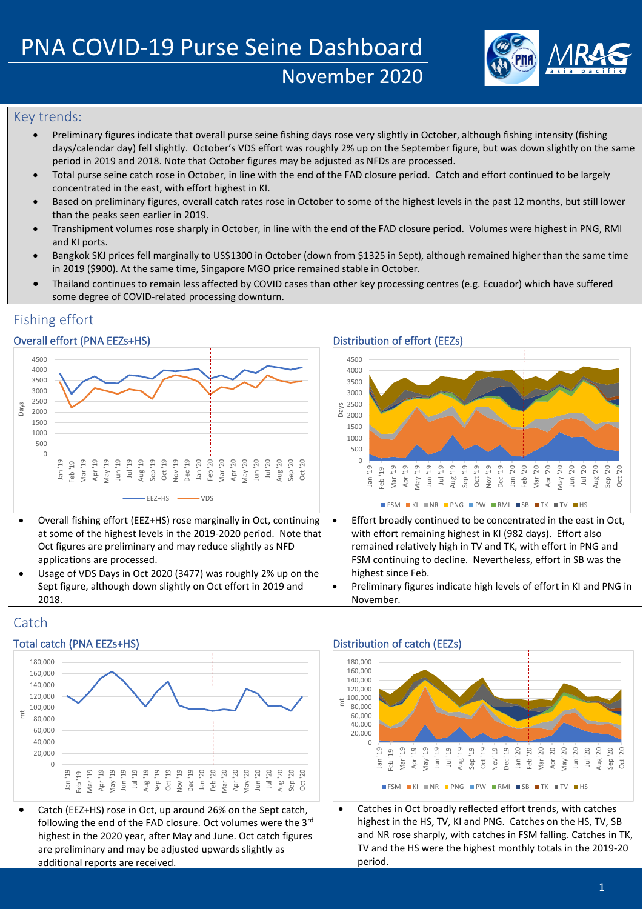

# Key trends:

- Preliminary figures indicate that overall purse seine fishing days rose very slightly in October, although fishing intensity (fishing days/calendar day) fell slightly. October's VDS effort was roughly 2% up on the September figure, but was down slightly on the same period in 2019 and 2018. Note that October figures may be adjusted as NFDs are processed.
- Total purse seine catch rose in October, in line with the end of the FAD closure period. Catch and effort continued to be largely concentrated in the east, with effort highest in KI.
- Based on preliminary figures, overall catch rates rose in October to some of the highest levels in the past 12 months, but still lower than the peaks seen earlier in 2019.
- Transhipment volumes rose sharply in October, in line with the end of the FAD closure period. Volumes were highest in PNG, RMI and KI ports.
- Bangkok SKJ prices fell marginally to US\$1300 in October (down from \$1325 in Sept), although remained higher than the same time in 2019 (\$900). At the same time, Singapore MGO price remained stable in October.
- Thailand continues to remain less affected by COVID cases than other key processing centres (e.g. Ecuador) which have suffered some degree of COVID-related processing downturn.

# Fishing effort

## Overall effort (PNA EEZs+HS) Distribution of effort (EEZs)



- Overall fishing effort (EEZ+HS) rose marginally in Oct, continuing at some of the highest levels in the 2019-2020 period. Note that Oct figures are preliminary and may reduce slightly as NFD applications are processed.
- Usage of VDS Days in Oct 2020 (3477) was roughly 2% up on the Sept figure, although down slightly on Oct effort in 2019 and 2018.



- Effort broadly continued to be concentrated in the east in Oct, with effort remaining highest in KI (982 days). Effort also remained relatively high in TV and TK, with effort in PNG and FSM continuing to decline. Nevertheless, effort in SB was the highest since Feb.
- Preliminary figures indicate high levels of effort in KI and PNG in November.

# **Catch**

# Total catch (PNA EEZs+HS) Total catch (EEZs) Distribution of catch (EEZs)



• Catch (EEZ+HS) rose in Oct, up around 26% on the Sept catch, following the end of the FAD closure. Oct volumes were the 3rd highest in the 2020 year, after May and June. Oct catch figures are preliminary and may be adjusted upwards slightly as additional reports are received.



Catches in Oct broadly reflected effort trends, with catches highest in the HS, TV, KI and PNG. Catches on the HS, TV, SB and NR rose sharply, with catches in FSM falling. Catches in TK, TV and the HS were the highest monthly totals in the 2019-20 period.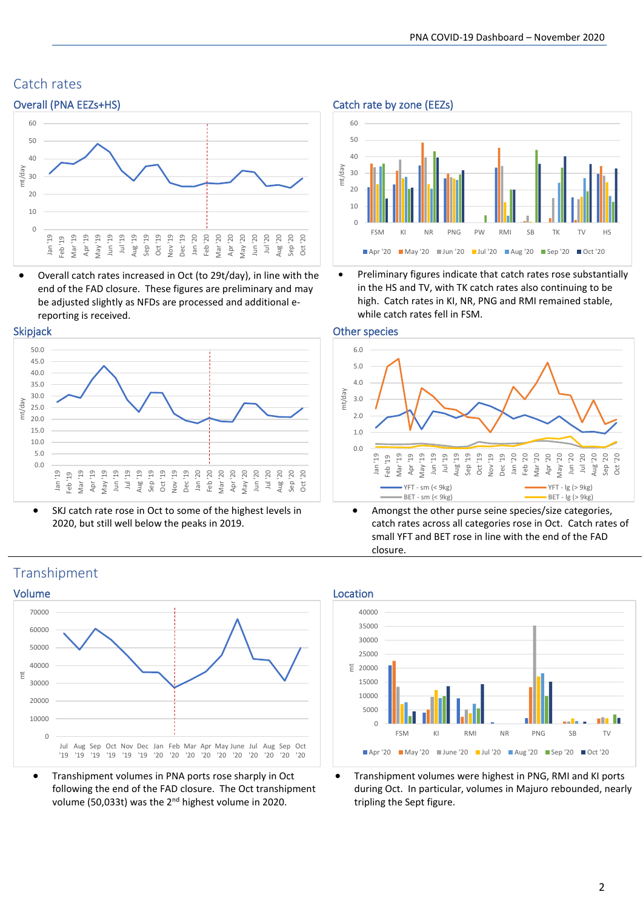# Catch rates



• Overall catch rates increased in Oct (to 29t/day), in line with the end of the FAD closure. These figures are preliminary and may be adjusted slightly as NFDs are processed and additional ereporting is received.





• SKJ catch rate rose in Oct to some of the highest levels in 2020, but still well below the peaks in 2019.





• Preliminary figures indicate that catch rates rose substantially in the HS and TV, with TK catch rates also continuing to be high. Catch rates in KI, NR, PNG and RMI remained stable, while catch rates fell in FSM.





Amongst the other purse seine species/size categories, catch rates across all categories rose in Oct. Catch rates of small YFT and BET rose in line with the end of the FAD closure.



• Transhipment volumes in PNA ports rose sharply in Oct following the end of the FAD closure. The Oct transhipment volume (50,033t) was the 2nd highest volume in 2020.



• Transhipment volumes were highest in PNG, RMI and KI ports during Oct. In particular, volumes in Majuro rebounded, nearly tripling the Sept figure.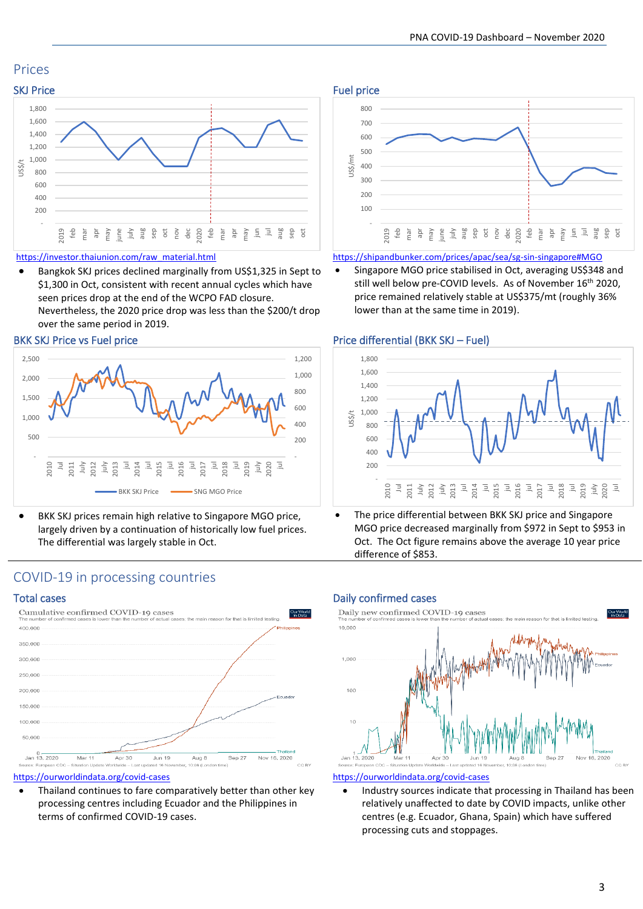# Prices



## [https://investor.thaiunion.com/raw\\_material.html](https://investor.thaiunion.com/raw_material.html)

• Bangkok SKJ prices declined marginally from US\$1,325 in Sept to \$1,300 in Oct, consistent with recent annual cycles which have seen prices drop at the end of the WCPO FAD closure.

Nevertheless, the 2020 price drop was less than the \$200/t drop over the same period in 2019.



BKK SKJ prices remain high relative to Singapore MGO price, largely driven by a continuation of historically low fuel prices. The differential was largely stable in Oct.



### <https://shipandbunker.com/prices/apac/sea/sg-sin-singapore#MGO>

• Singapore MGO price stabilised in Oct, averaging US\$348 and still well below pre-COVID levels. As of November 16<sup>th</sup> 2020, price remained relatively stable at US\$375/mt (roughly 36% lower than at the same time in 2019).

## BKK SKJ Price vs Fuel price Price Price differential (BKK SKJ – Fuel)



The price differential between BKK SKJ price and Singapore MGO price decreased marginally from \$972 in Sept to \$953 in Oct. The Oct figure remains above the average 10 year price difference of \$853.

## COVID-19 in processing countries



## <https://ourworldindata.org/covid-cases>

Thailand continues to fare comparatively better than other key processing centres including Ecuador and the Philippines in terms of confirmed COVID-19 cases.

## Total cases Daily confirmed cases



### <https://ourworldindata.org/covid-cases>

• Industry sources indicate that processing in Thailand has been relatively unaffected to date by COVID impacts, unlike other centres (e.g. Ecuador, Ghana, Spain) which have suffered processing cuts and stoppages.